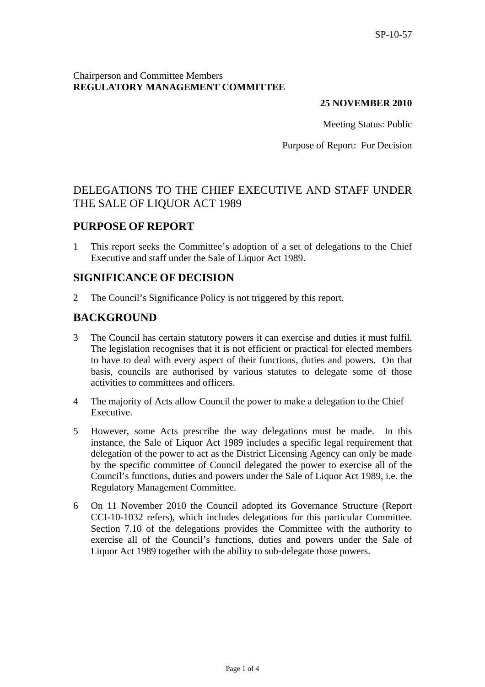## Chairperson and Committee Members **REGULATORY MANAGEMENT COMMITTEE**

#### **25 NOVEMBER 2010**

Meeting Status: Public

Purpose of Report: For Decision

# DELEGATIONS TO THE CHIEF EXECUTIVE AND STAFF UNDER THE SALE OF LIQUOR ACT 1989

## **PURPOSE OF REPORT**

1 This report seeks the Committee's adoption of a set of delegations to the Chief Executive and staff under the Sale of Liquor Act 1989.

## **SIGNIFICANCE OF DECISION**

2 The Council's Significance Policy is not triggered by this report.

# **BACKGROUND**

- 3 The Council has certain statutory powers it can exercise and duties it must fulfil. The legislation recognises that it is not efficient or practical for elected members to have to deal with every aspect of their functions, duties and powers. On that basis, councils are authorised by various statutes to delegate some of those activities to committees and officers.
- 4 The majority of Acts allow Council the power to make a delegation to the Chief Executive.
- 5 However, some Acts prescribe the way delegations must be made. In this instance, the Sale of Liquor Act 1989 includes a specific legal requirement that delegation of the power to act as the District Licensing Agency can only be made by the specific committee of Council delegated the power to exercise all of the Council's functions, duties and powers under the Sale of Liquor Act 1989, i.e. the Regulatory Management Committee.
- 6 On 11 November 2010 the Council adopted its Governance Structure (Report CCI-10-1032 refers), which includes delegations for this particular Committee. Section 7.10 of the delegations provides the Committee with the authority to exercise all of the Council's functions, duties and powers under the Sale of Liquor Act 1989 together with the ability to sub-delegate those powers.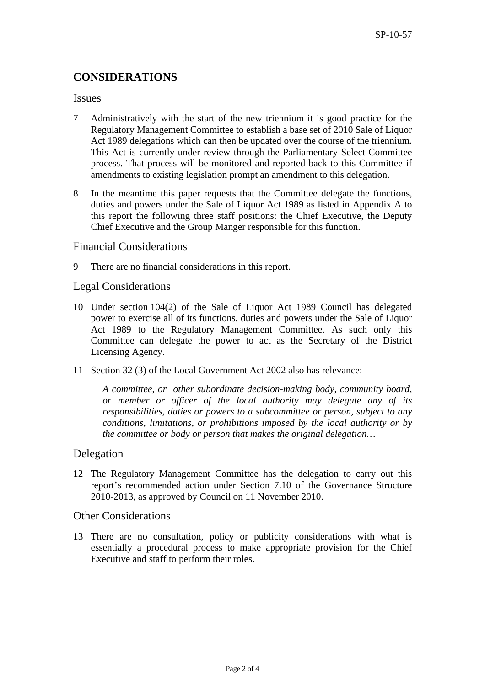## **CONSIDERATIONS**

#### Issues

- 7 Administratively with the start of the new triennium it is good practice for the Regulatory Management Committee to establish a base set of 2010 Sale of Liquor Act 1989 delegations which can then be updated over the course of the triennium. This Act is currently under review through the Parliamentary Select Committee process. That process will be monitored and reported back to this Committee if amendments to existing legislation prompt an amendment to this delegation.
- 8 In the meantime this paper requests that the Committee delegate the functions, duties and powers under the Sale of Liquor Act 1989 as listed in Appendix A to this report the following three staff positions: the Chief Executive, the Deputy Chief Executive and the Group Manger responsible for this function.

#### Financial Considerations

9 There are no financial considerations in this report.

#### Legal Considerations

- 10 Under section 104(2) of the Sale of Liquor Act 1989 Council has delegated power to exercise all of its functions, duties and powers under the Sale of Liquor Act 1989 to the Regulatory Management Committee. As such only this Committee can delegate the power to act as the Secretary of the District Licensing Agency.
- 11 Section 32 (3) of the Local Government Act 2002 also has relevance:

*A committee, or other subordinate decision-making body, community board, or member or officer of the local authority may delegate any of its responsibilities, duties or powers to a subcommittee or person, subject to any conditions, limitations, or prohibitions imposed by the local authority or by the committee or body or person that makes the original delegation…* 

## Delegation

12 The Regulatory Management Committee has the delegation to carry out this report's recommended action under Section 7.10 of the Governance Structure 2010-2013, as approved by Council on 11 November 2010.

#### Other Considerations

13 There are no consultation, policy or publicity considerations with what is essentially a procedural process to make appropriate provision for the Chief Executive and staff to perform their roles.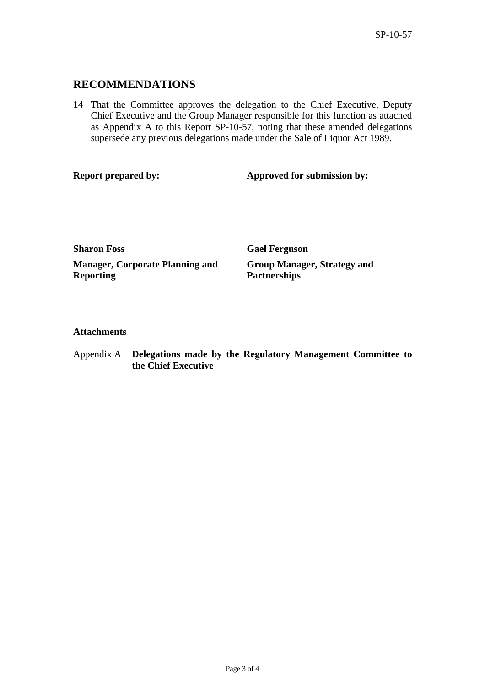## **RECOMMENDATIONS**

14 That the Committee approves the delegation to the Chief Executive, Deputy Chief Executive and the Group Manager responsible for this function as attached as Appendix A to this Report SP-10-57, noting that these amended delegations supersede any previous delegations made under the Sale of Liquor Act 1989.

### **Report prepared by:** Approved for submission by:

**Sharon Foss** Gael Ferguson **Manager, Corporate Planning and Reporting** 

**Group Manager, Strategy and Partnerships** 

## **Attachments**

Appendix A **Delegations made by the Regulatory Management Committee to the Chief Executive**